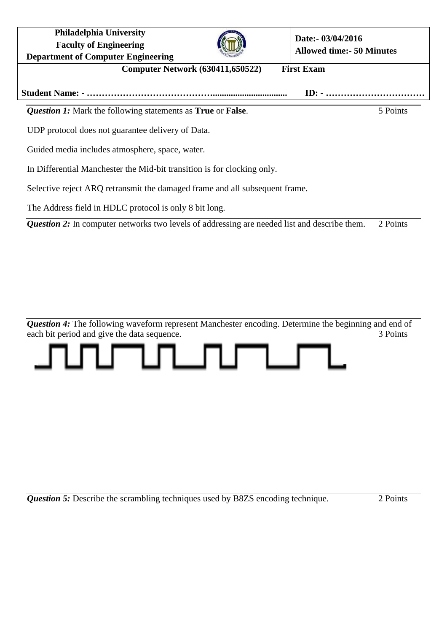| <b>Philadelphia University</b><br><b>Faculty of Engineering</b><br><b>Department of Computer Engineering</b> |  | Date:- 03/04/2016<br><b>Allowed time: - 50 Minutes</b> |          |
|--------------------------------------------------------------------------------------------------------------|--|--------------------------------------------------------|----------|
| <b>Computer Network (630411,650522)</b><br><b>First Exam</b>                                                 |  |                                                        |          |
|                                                                                                              |  |                                                        |          |
| <b>Question 1:</b> Mark the following statements as <b>True</b> or <b>False</b> .                            |  |                                                        | 5 Points |

UDP protocol does not guarantee delivery of Data.

Guided media includes atmosphere, space, water.

In Differential Manchester the Mid-bit transition is for clocking only.

Selective reject ARQ retransmit the damaged frame and all subsequent frame.

The Address field in HDLC protocol is only 8 bit long.

*Question 2:* In computer networks two levels of addressing are needed list and describe them. 2 Points

**Question 4:** The following waveform represent Manchester encoding. Determine the beginning and end of each bit period and give the data sequence. 3 Points



*Question 5:* Describe the scrambling techniques used by B8ZS encoding technique. 2 Points